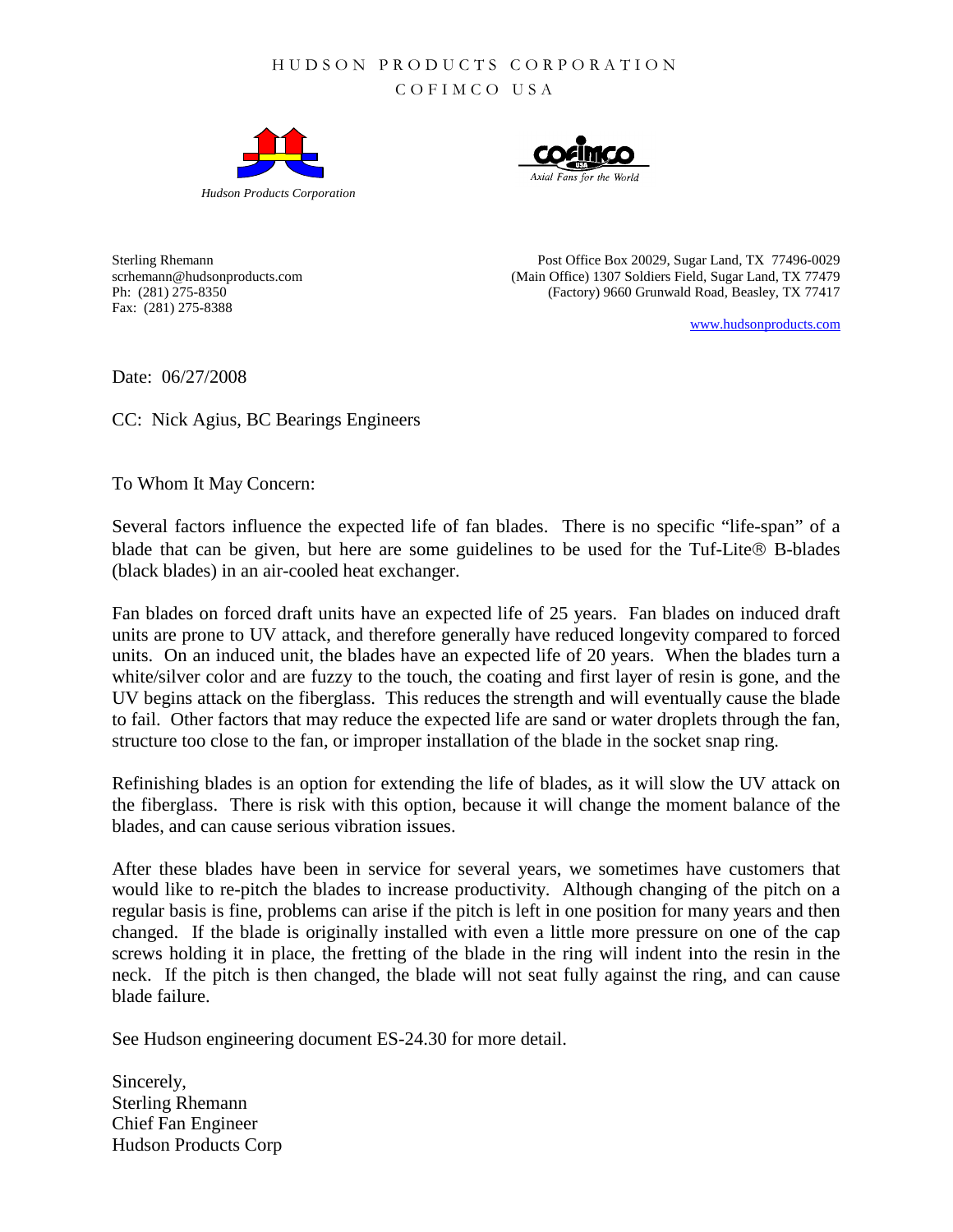## HUDSON PRODUCTS CORP ORATION

COFIMCO USA





Fax: (281) 275-8388

Sterling Rhemann Post Office Box 20029, Sugar Land, TX 77496-0029 scrhemann@hudsonproducts.com (Main Office) 1307 Soldiers Field, Sugar Land, TX 77479 Ph: (281) 275-8350 (Factory) 9660 Grunwald Road, Beasley, TX 77417

[www.hudsonproducts.com](http://www.hudsonproducts.com/)

Date: 06/27/2008

CC: Nick Agius, BC Bearings Engineers

To Whom It May Concern:

Several factors influence the expected life of fan blades. There is no specific "life-span" of a blade that can be given, but here are some guidelines to be used for the Tuf-Lite® B-blades (black blades) in an air-cooled heat exchanger.

Fan blades on forced draft units have an expected life of 25 years. Fan blades on induced draft units are prone to UV attack, and therefore generally have reduced longevity compared to forced units. On an induced unit, the blades have an expected life of 20 years. When the blades turn a white/silver color and are fuzzy to the touch, the coating and first layer of resin is gone, and the UV begins attack on the fiberglass. This reduces the strength and will eventually cause the blade to fail. Other factors that may reduce the expected life are sand or water droplets through the fan, structure too close to the fan, or improper installation of the blade in the socket snap ring.

Refinishing blades is an option for extending the life of blades, as it will slow the UV attack on the fiberglass. There is risk with this option, because it will change the moment balance of the blades, and can cause serious vibration issues.

After these blades have been in service for several years, we sometimes have customers that would like to re-pitch the blades to increase productivity. Although changing of the pitch on a regular basis is fine, problems can arise if the pitch is left in one position for many years and then changed. If the blade is originally installed with even a little more pressure on one of the cap screws holding it in place, the fretting of the blade in the ring will indent into the resin in the neck. If the pitch is then changed, the blade will not seat fully against the ring, and can cause blade failure.

See Hudson engineering document ES-24.30 for more detail.

Sincerely, Sterling Rhemann Chief Fan Engineer Hudson Products Corp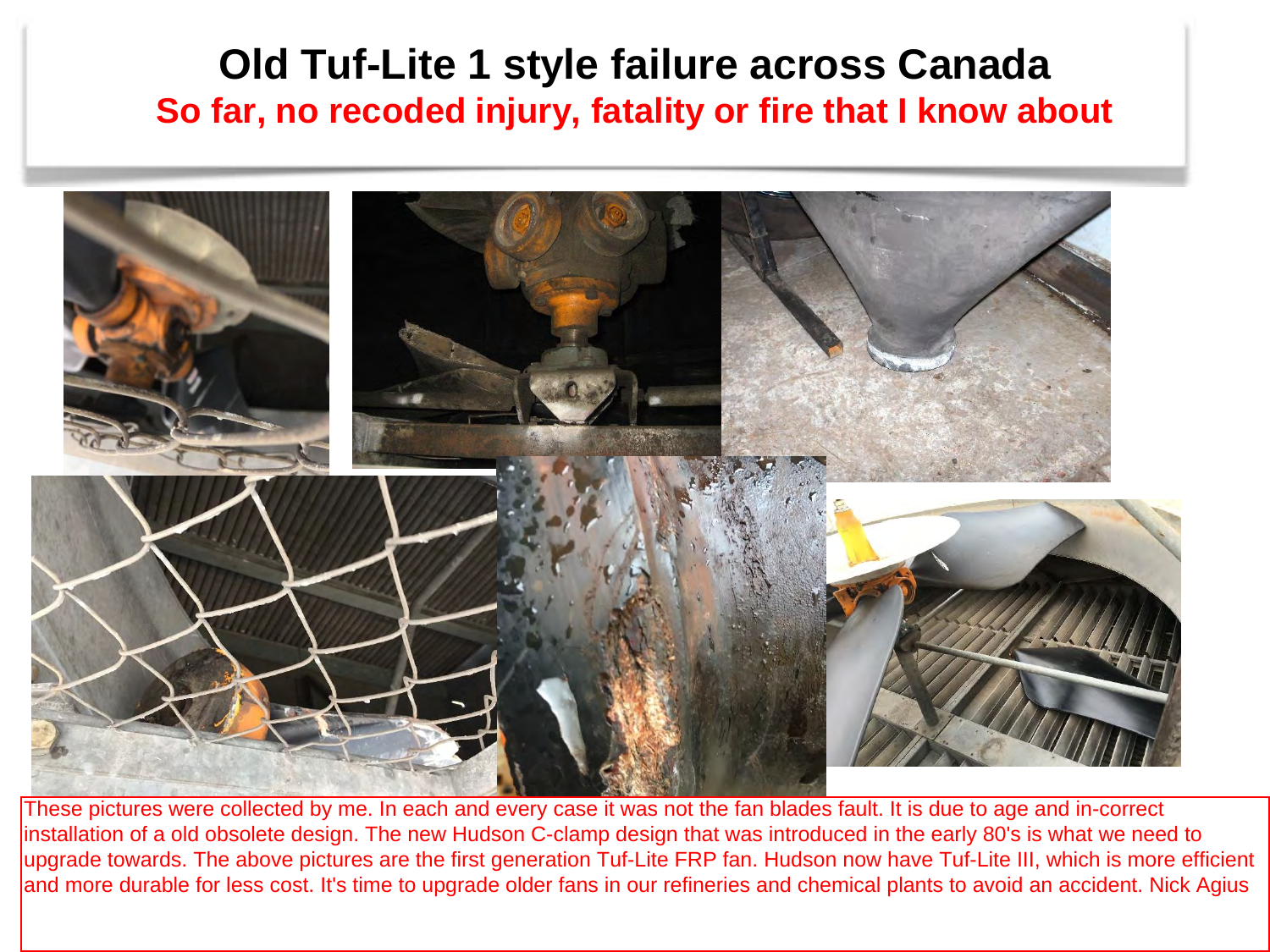## **Old Tuf-Lite 1 style failure across Canada So far, no recoded injury, fatality or fire that I know about**



These pictures were collected by me. In each and every case it was not the fan blades fault. It is due to age and in-correct installation of a old obsolete design. The new Hudson C-clamp design that was introduced in the early 80's is what we need to upgrade towards. The above pictures are the first generation Tuf-Lite FRP fan. Hudson now have Tuf-Lite III, which is more efficient and more durable for less cost. It's time to upgrade older fans in our refineries and chemical plants to avoid an accident. Nick Agius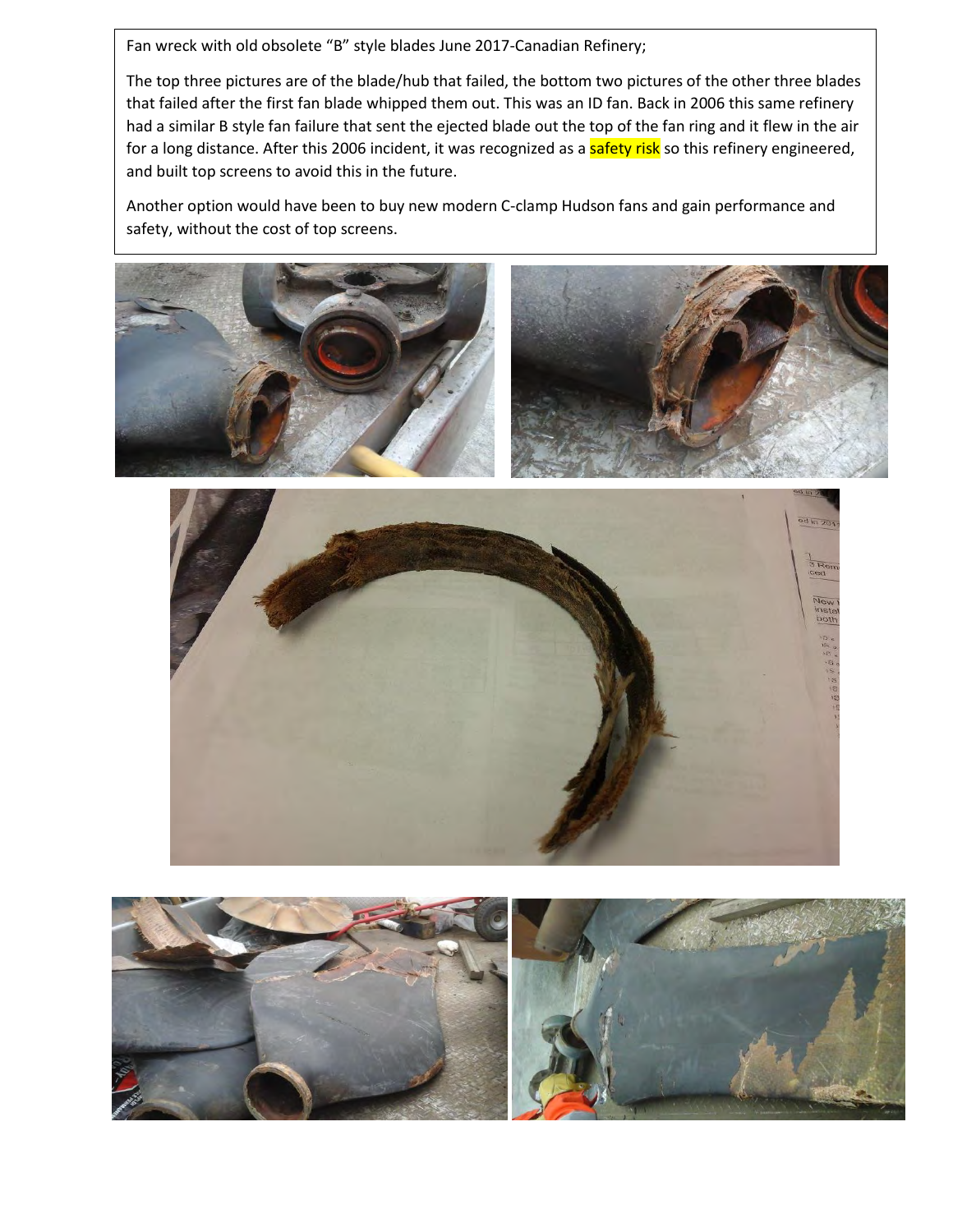Fan wreck with old obsolete "B" style blades June 2017-Canadian Refinery;

The top three pictures are of the blade/hub that failed, the bottom two pictures of the other three blades that failed after the first fan blade whipped them out. This was an ID fan. Back in 2006 this same refinery had a similar B style fan failure that sent the ejected blade out the top of the fan ring and it flew in the air for a long distance. After this 2006 incident, it was recognized as a safety risk so this refinery engineered, and built top screens to avoid this in the future.

Another option would have been to buy new modern C-clamp Hudson fans and gain performance and safety, without the cost of top screens.